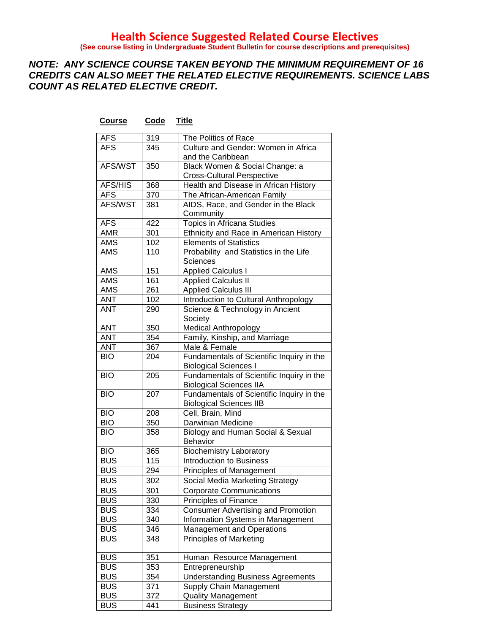**(See course listing in Undergraduate Student Bulletin for course descriptions and prerequisites)**

#### *NOTE: ANY SCIENCE COURSE TAKEN BEYOND THE MINIMUM REQUIREMENT OF 16 CREDITS CAN ALSO MEET THE RELATED ELECTIVE REQUIREMENTS. SCIENCE LABS COUNT AS RELATED ELECTIVE CREDIT.*

| <b>AFS</b> | 319 | The Politics of Race                      |
|------------|-----|-------------------------------------------|
| <b>AFS</b> | 345 | Culture and Gender: Women in Africa       |
|            |     | and the Caribbean                         |
| AFS/WST    | 350 | Black Women & Social Change: a            |
|            |     | <b>Cross-Cultural Perspective</b>         |
| AFS/HIS    | 368 | Health and Disease in African History     |
| <b>AFS</b> | 370 | The African-American Family               |
| AFS/WST    | 381 | AIDS, Race, and Gender in the Black       |
|            |     | Community                                 |
| <b>AFS</b> | 422 | Topics in Africana Studies                |
| <b>AMR</b> | 301 | Ethnicity and Race in American History    |
| <b>AMS</b> | 102 | <b>Elements of Statistics</b>             |
| <b>AMS</b> | 110 | Probability and Statistics in the Life    |
|            |     | Sciences                                  |
| <b>AMS</b> | 151 | <b>Applied Calculus I</b>                 |
| <b>AMS</b> | 161 | <b>Applied Calculus II</b>                |
| <b>AMS</b> | 261 | <b>Applied Calculus III</b>               |
| <b>ANT</b> | 102 | Introduction to Cultural Anthropology     |
| <b>ANT</b> | 290 | Science & Technology in Ancient           |
|            |     | Society                                   |
| <b>ANT</b> | 350 | Medical Anthropology                      |
| <b>ANT</b> | 354 | Family, Kinship, and Marriage             |
| <b>ANT</b> | 367 | Male & Female                             |
| <b>BIO</b> | 204 | Fundamentals of Scientific Inquiry in the |
|            |     | <b>Biological Sciences I</b>              |
| <b>BIO</b> | 205 | Fundamentals of Scientific Inquiry in the |
|            |     | <b>Biological Sciences IIA</b>            |
| <b>BIO</b> | 207 | Fundamentals of Scientific Inquiry in the |
|            |     | <b>Biological Sciences IIB</b>            |
| <b>BIO</b> | 208 | Cell, Brain, Mind                         |
| <b>BIO</b> | 350 | Darwinian Medicine                        |
| <b>BIO</b> | 358 | Biology and Human Social & Sexual         |
|            |     | <b>Behavior</b>                           |
| <b>BIO</b> | 365 | <b>Biochemistry Laboratory</b>            |
| <b>BUS</b> | 115 | <b>Introduction to Business</b>           |
| <b>BUS</b> | 294 | Principles of Management                  |
| <b>BUS</b> | 302 | Social Media Marketing Strategy           |
| <b>BUS</b> | 301 | <b>Corporate Communications</b>           |
| <b>BUS</b> | 330 | Principles of Finance                     |
| <b>BUS</b> | 334 | <b>Consumer Advertising and Promotion</b> |
| <b>BUS</b> | 340 | Information Systems in Management         |
| <b>BUS</b> | 346 | Management and Operations                 |
| <b>BUS</b> | 348 | <b>Principles of Marketing</b>            |
|            |     |                                           |
| <b>BUS</b> | 351 | Human Resource Management                 |
| <b>BUS</b> | 353 | Entrepreneurship                          |
| <b>BUS</b> | 354 | <b>Understanding Business Agreements</b>  |
| <b>BUS</b> | 371 | Supply Chain Management                   |
| <b>BUS</b> | 372 | <b>Quality Management</b>                 |
| <b>BUS</b> | 441 | <b>Business Strategy</b>                  |
|            |     |                                           |

#### **Course Code Title**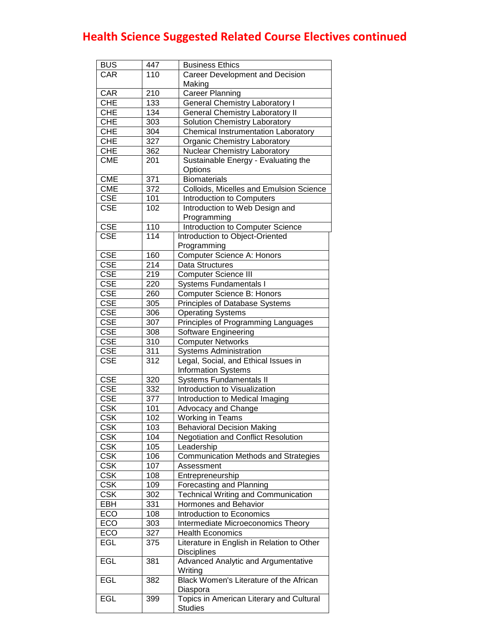| <b>BUS</b>              | 447 | <b>Business Ethics</b>                      |
|-------------------------|-----|---------------------------------------------|
| CAR                     | 110 | Career Development and Decision             |
|                         |     | Making                                      |
| CAR                     | 210 | <b>Career Planning</b>                      |
| <b>CHE</b>              | 133 | <b>General Chemistry Laboratory I</b>       |
| <b>CHE</b>              | 134 | <b>General Chemistry Laboratory II</b>      |
| <b>CHE</b>              | 303 | Solution Chemistry Laboratory               |
| <b>CHE</b>              | 304 | <b>Chemical Instrumentation Laboratory</b>  |
| <b>CHE</b>              | 327 | <b>Organic Chemistry Laboratory</b>         |
| <b>CHE</b>              | 362 | Nuclear Chemistry Laboratory                |
| <b>CME</b>              | 201 | Sustainable Energy - Evaluating the         |
|                         |     | Options                                     |
| <b>CME</b>              | 371 | <b>Biomaterials</b>                         |
| <b>CME</b>              | 372 | Colloids, Micelles and Emulsion Science     |
| <b>CSE</b>              | 101 | Introduction to Computers                   |
| <b>CSE</b>              | 102 | Introduction to Web Design and              |
|                         |     | Programming                                 |
| <b>CSE</b>              | 110 | Introduction to Computer Science            |
| <b>CSE</b>              | 114 | Introduction to Object-Oriented             |
|                         |     | Programming                                 |
| <b>CSE</b>              | 160 | Computer Science A: Honors                  |
| CSE                     | 214 | Data Structures                             |
| <b>CSE</b>              | 219 | <b>Computer Science III</b>                 |
| <b>CSE</b>              | 220 | <b>Systems Fundamentals I</b>               |
| <b>CSE</b>              | 260 | Computer Science B: Honors                  |
| <b>CSE</b>              |     |                                             |
|                         | 305 | Principles of Database Systems              |
| <b>CSE</b>              | 306 | <b>Operating Systems</b>                    |
| <b>CSE</b>              | 307 | Principles of Programming Languages         |
| <b>CSE</b>              | 308 | Software Engineering                        |
| <b>CSE</b>              | 310 | <b>Computer Networks</b>                    |
| <b>CSE</b>              | 311 | <b>Systems Administration</b>               |
| <b>CSE</b>              | 312 | Legal, Social, and Ethical Issues in        |
|                         |     | <b>Information Systems</b>                  |
| <b>CSE</b>              | 320 | <b>Systems Fundamentals II</b>              |
| <b>CSE</b>              | 332 | Introduction to Visualization               |
| <b>CSE</b>              | 377 | Introduction to Medical Imaging             |
| <b>CSK</b>              | 101 | Advocacy and Change                         |
| <b>CSK</b>              | 102 | <b>Working in Teams</b>                     |
| <b>CSK</b>              | 103 | <b>Behavioral Decision Making</b>           |
| <b>CSK</b>              | 104 | <b>Negotiation and Conflict Resolution</b>  |
| <b>CSK</b>              | 105 | Leadership                                  |
| <b>CSK</b>              | 106 | <b>Communication Methods and Strategies</b> |
| <b>CSK</b>              | 107 | Assessment                                  |
| <b>CSK</b>              | 108 | Entrepreneurship                            |
| $\overline{\text{CSK}}$ | 109 | Forecasting and Planning                    |
| $\overline{\text{CSK}}$ | 302 | <b>Technical Writing and Communication</b>  |
| EBH                     | 331 | Hormones and Behavior                       |
| ECO                     | 108 | Introduction to Economics                   |
| ECO                     | 303 | Intermediate Microeconomics Theory          |
| ECO                     | 327 | <b>Health Economics</b>                     |
| EGL                     | 375 | Literature in English in Relation to Other  |
|                         |     | <b>Disciplines</b>                          |
| EGL                     | 381 | Advanced Analytic and Argumentative         |
|                         |     | Writing                                     |
| EGL                     | 382 | Black Women's Literature of the African     |
|                         |     | Diaspora                                    |
| <b>EGL</b>              | 399 | Topics in American Literary and Cultural    |
|                         |     | <b>Studies</b>                              |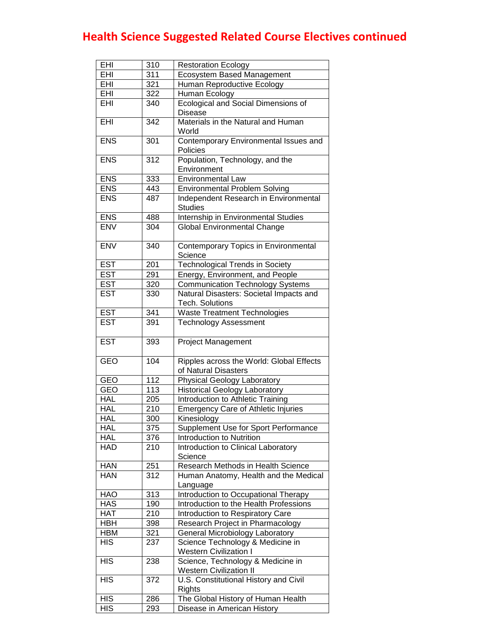| EHI        | 310 | <b>Restoration Ecology</b>                                        |
|------------|-----|-------------------------------------------------------------------|
| EHI        | 311 | <b>Ecosystem Based Management</b>                                 |
| EHI        | 321 | Human Reproductive Ecology                                        |
| EHI        | 322 | Human Ecology                                                     |
| EHI        | 340 | Ecological and Social Dimensions of                               |
|            |     | <b>Disease</b>                                                    |
| EHI        | 342 | Materials in the Natural and Human                                |
|            |     | World                                                             |
| <b>ENS</b> | 301 | Contemporary Environmental Issues and                             |
|            |     | Policies                                                          |
| <b>ENS</b> | 312 | Population, Technology, and the                                   |
|            |     | Environment                                                       |
| <b>ENS</b> | 333 | <b>Environmental Law</b>                                          |
| <b>ENS</b> | 443 | <b>Environmental Problem Solving</b>                              |
| <b>ENS</b> | 487 | Independent Research in Environmental                             |
|            |     | <b>Studies</b>                                                    |
| <b>ENS</b> | 488 | Internship in Environmental Studies                               |
| <b>ENV</b> | 304 | <b>Global Environmental Change</b>                                |
|            |     |                                                                   |
| <b>ENV</b> | 340 | Contemporary Topics in Environmental                              |
|            |     | Science                                                           |
| <b>EST</b> | 201 | <b>Technological Trends in Society</b>                            |
| <b>EST</b> | 291 |                                                                   |
|            |     | Energy, Environment, and People                                   |
| <b>EST</b> | 320 | <b>Communication Technology Systems</b>                           |
| <b>EST</b> | 330 | Natural Disasters: Societal Impacts and                           |
|            |     | <b>Tech. Solutions</b>                                            |
| <b>EST</b> | 341 | <b>Waste Treatment Technologies</b>                               |
| <b>EST</b> | 391 | <b>Technology Assessment</b>                                      |
| <b>EST</b> | 393 | <b>Project Management</b>                                         |
|            |     |                                                                   |
|            |     |                                                                   |
|            |     |                                                                   |
| <b>GEO</b> | 104 | Ripples across the World: Global Effects                          |
|            |     | of Natural Disasters                                              |
| <b>GEO</b> | 112 | Physical Geology Laboratory                                       |
| <b>GEO</b> | 113 | <b>Historical Geology Laboratory</b>                              |
| <b>HAL</b> | 205 | Introduction to Athletic Training                                 |
| <b>HAL</b> | 210 | <b>Emergency Care of Athletic Injuries</b>                        |
| <b>HAL</b> | 300 | Kinesiology                                                       |
| <b>HAL</b> | 375 | Supplement Use for Sport Performance                              |
| <b>HAL</b> | 376 | Introduction to Nutrition                                         |
| <b>HAD</b> | 210 | Introduction to Clinical Laboratory                               |
|            |     | Science                                                           |
| <b>HAN</b> | 251 | Research Methods in Health Science                                |
| <b>HAN</b> | 312 | Human Anatomy, Health and the Medical                             |
|            |     | Language                                                          |
| HAO        | 313 | <b>Introduction to Occupational Therapy</b>                       |
| HAS        | 190 | Introduction to the Health Professions                            |
| <b>HAT</b> | 210 | Introduction to Respiratory Care                                  |
| <b>HBH</b> | 398 | Research Project in Pharmacology                                  |
| <b>HBM</b> | 321 | General Microbiology Laboratory                                   |
| <b>HIS</b> | 237 | Science Technology & Medicine in                                  |
|            |     | <b>Western Civilization I</b>                                     |
| <b>HIS</b> | 238 |                                                                   |
|            |     | Science, Technology & Medicine in                                 |
| <b>HIS</b> | 372 | <b>Western Civilization II</b>                                    |
|            |     | U.S. Constitutional History and Civil<br>Rights                   |
| <b>HIS</b> | 286 |                                                                   |
| <b>HIS</b> | 293 | The Global History of Human Health<br>Disease in American History |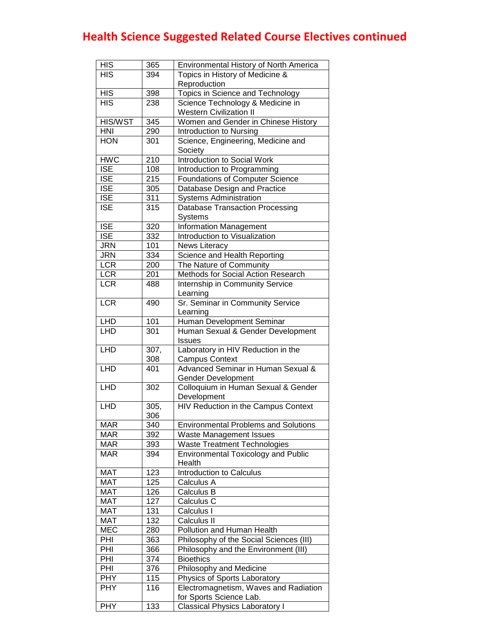| <b>HIS</b>              | 365              | Environmental History of North America      |
|-------------------------|------------------|---------------------------------------------|
| <b>HIS</b>              | 394              | Topics in History of Medicine &             |
|                         |                  | Reproduction                                |
| <b>HIS</b>              | 398              | Topics in Science and Technology            |
| HIS                     | 238              | Science Technology & Medicine in            |
|                         |                  | <b>Western Civilization II</b>              |
| <b>HIS/WST</b>          | 345              | Women and Gender in Chinese History         |
| <b>HNI</b>              | 290              | Introduction to Nursing                     |
| <b>HON</b>              | 301              | Science, Engineering, Medicine and          |
|                         |                  | Society                                     |
| <b>HWC</b>              | 210              | Introduction to Social Work                 |
| $\overline{\text{ISE}}$ | 108              | Introduction to Programming                 |
| $\overline{\text{ISE}}$ | $\overline{215}$ | <b>Foundations of Computer Science</b>      |
| $\overline{\text{ISE}}$ | 305              | Database Design and Practice                |
| $\overline{\text{ISE}}$ | 311              | <b>Systems Administration</b>               |
| $\overline{\text{ISE}}$ | 315              | <b>Database Transaction Processing</b>      |
|                         |                  | Systems                                     |
| <b>ISE</b>              | 320              | <b>Information Management</b>               |
| <b>ISE</b>              | 332              | Introduction to Visualization               |
| <b>JRN</b>              | 101              | News Literacy                               |
| <b>JRN</b>              | 334              | Science and Health Reporting                |
| <b>LCR</b>              | 200              | The Nature of Community                     |
| <b>LCR</b>              | 201              | Methods for Social Action Research          |
| LCR                     | 488              | Internship in Community Service             |
|                         |                  | Learning                                    |
| <b>LCR</b>              | 490              | Sr. Seminar in Community Service            |
|                         |                  | Learning                                    |
| <b>LHD</b>              | 101              | Human Development Seminar                   |
| <b>LHD</b>              | 301              | Human Sexual & Gender Development           |
|                         |                  | Issues                                      |
| LHD                     | 307,             | Laboratory in HIV Reduction in the          |
|                         | 308              | <b>Campus Context</b>                       |
| <b>LHD</b>              | 401              | Advanced Seminar in Human Sexual &          |
|                         |                  | <b>Gender Development</b>                   |
| LHD                     | 302              | Colloquium in Human Sexual & Gender         |
|                         |                  | Development                                 |
| <b>LHD</b>              | 305,             | HIV Reduction in the Campus Context         |
|                         | 306              |                                             |
| <b>MAR</b>              | 340              | <b>Environmental Problems and Solutions</b> |
| <b>MAR</b>              | 392              | Waste Management Issues                     |
| <b>MAR</b>              | 393              | <b>Waste Treatment Technologies</b>         |
| <b>MAR</b>              | 394              | <b>Environmental Toxicology and Public</b>  |
|                         |                  | Health                                      |
| <b>MAT</b>              | 123              | Introduction to Calculus                    |
| <b>MAT</b>              | 125              | Calculus A                                  |
| <b>MAT</b>              | 126              |                                             |
| <b>MAT</b>              | 127              | Calculus B                                  |
|                         |                  | Calculus C                                  |
| <b>MAT</b>              | 131              | Calculus I                                  |
| <b>MAT</b>              | 132              | Calculus II                                 |
| <b>MEC</b>              | 280              | Pollution and Human Health                  |
| PHI                     | 363              | Philosophy of the Social Sciences (III)     |
| PHI                     | 366              | Philosophy and the Environment (III)        |
| PHI                     | 374              | <b>Bioethics</b>                            |
| PHI                     | 376              | Philosophy and Medicine                     |
| <b>PHY</b>              | 115              | Physics of Sports Laboratory                |
| <b>PHY</b>              | 116              | Electromagnetism, Waves and Radiation       |
|                         |                  | for Sports Science Lab.                     |
| <b>PHY</b>              | 133              | <b>Classical Physics Laboratory I</b>       |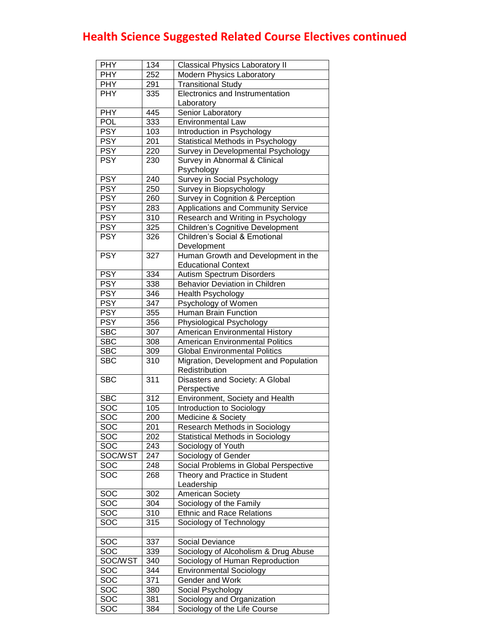| <b>PHY</b>              | 134 | <b>Classical Physics Laboratory II</b>   |
|-------------------------|-----|------------------------------------------|
| <b>PHY</b>              | 252 | <b>Modern Physics Laboratory</b>         |
| <b>PHY</b>              | 291 | <b>Transitional Study</b>                |
| <b>PHY</b>              | 335 | Electronics and Instrumentation          |
|                         |     | Laboratory                               |
| <b>PHY</b>              | 445 | Senior Laboratory                        |
| POL                     | 333 | <b>Environmental Law</b>                 |
| <b>PSY</b>              | 103 | Introduction in Psychology               |
| <b>PSY</b>              | 201 | Statistical Methods in Psychology        |
| <b>PSY</b>              | 220 | Survey in Developmental Psychology       |
| <b>PSY</b>              | 230 | Survey in Abnormal & Clinical            |
|                         |     | Psychology                               |
| <b>PSY</b>              | 240 | Survey in Social Psychology              |
| <b>PSY</b>              | 250 | Survey in Biopsychology                  |
| <b>PSY</b>              | 260 | Survey in Cognition & Perception         |
| <b>PSY</b>              | 283 | Applications and Community Service       |
| <b>PSY</b>              | 310 | Research and Writing in Psychology       |
| <b>PSY</b>              | 325 | <b>Children's Cognitive Development</b>  |
| <b>PSY</b>              | 326 | <b>Children's Social &amp; Emotional</b> |
|                         |     | Development                              |
| <b>PSY</b>              | 327 | Human Growth and Development in the      |
|                         |     | <b>Educational Context</b>               |
| <b>PSY</b>              | 334 | <b>Autism Spectrum Disorders</b>         |
| <b>PSY</b>              | 338 | <b>Behavior Deviation in Children</b>    |
| <b>PSY</b>              | 346 | <b>Health Psychology</b>                 |
| <b>PSY</b>              | 347 | Psychology of Women                      |
| <b>PSY</b>              | 355 | Human Brain Function                     |
| <b>PSY</b>              | 356 | Physiological Psychology                 |
| <b>SBC</b>              | 307 | American Environmental History           |
| <b>SBC</b>              | 308 | <b>American Environmental Politics</b>   |
| <b>SBC</b>              | 309 | <b>Global Environmental Politics</b>     |
| <b>SBC</b>              | 310 | Migration, Development and Population    |
|                         |     | Redistribution                           |
| <b>SBC</b>              | 311 | Disasters and Society: A Global          |
|                         |     | Perspective                              |
| <b>SBC</b>              | 312 | Environment, Society and Health          |
| $\overline{SOC}$        | 105 | Introduction to Sociology                |
| $\overline{\text{SOC}}$ | 200 | Medicine & Society                       |
| 50C                     | 201 | Research Methods in Sociology            |
| $\overline{S}OC$        | 202 | Statistical Methods in Sociology         |
| 50C                     | 243 | Sociology of Youth                       |
| SOC/WST                 | 247 | Sociology of Gender                      |
| $\overline{S}OC$        | 248 | Social Problems in Global Perspective    |
| $\overline{S}OC$        | 268 | Theory and Practice in Student           |
|                         |     | Leadership                               |
| SOC                     | 302 | American Society                         |
| SOC                     | 304 | Sociology of the Family                  |
| SOC                     | 310 | <b>Ethnic and Race Relations</b>         |
| SOC                     | 315 | Sociology of Technology                  |
|                         |     |                                          |
| SOC                     | 337 | Social Deviance                          |
| SOC                     | 339 | Sociology of Alcoholism & Drug Abuse     |
| SOC/WST                 | 340 | Sociology of Human Reproduction          |
| SOC                     | 344 | <b>Environmental Sociology</b>           |
| SOC                     | 371 | Gender and Work                          |
| SOC                     | 380 | Social Psychology                        |
| SOC                     | 381 | Sociology and Organization               |
| SOC                     |     |                                          |